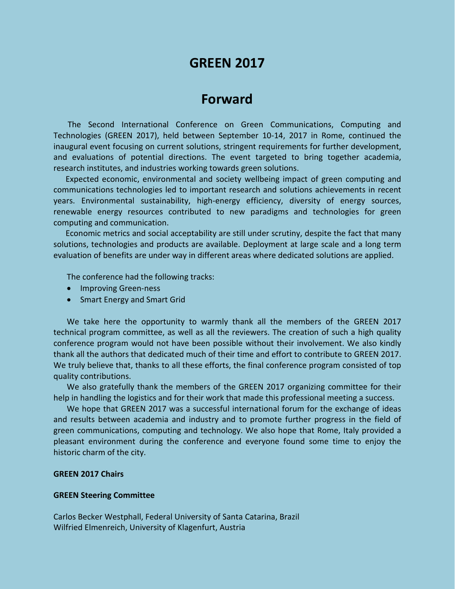# **GREEN 2017**

## **Forward**

The Second International Conference on Green Communications, Computing and Technologies (GREEN 2017), held between September 10-14, 2017 in Rome, continued the inaugural event focusing on current solutions, stringent requirements for further development, and evaluations of potential directions. The event targeted to bring together academia, research institutes, and industries working towards green solutions.

Expected economic, environmental and society wellbeing impact of green computing and communications technologies led to important research and solutions achievements in recent years. Environmental sustainability, high-energy efficiency, diversity of energy sources, renewable energy resources contributed to new paradigms and technologies for green computing and communication.

Economic metrics and social acceptability are still under scrutiny, despite the fact that many solutions, technologies and products are available. Deployment at large scale and a long term evaluation of benefits are under way in different areas where dedicated solutions are applied.

The conference had the following tracks:

- Improving Green-ness
- Smart Energy and Smart Grid

We take here the opportunity to warmly thank all the members of the GREEN 2017 technical program committee, as well as all the reviewers. The creation of such a high quality conference program would not have been possible without their involvement. We also kindly thank all the authors that dedicated much of their time and effort to contribute to GREEN 2017. We truly believe that, thanks to all these efforts, the final conference program consisted of top quality contributions.

We also gratefully thank the members of the GREEN 2017 organizing committee for their help in handling the logistics and for their work that made this professional meeting a success.

We hope that GREEN 2017 was a successful international forum for the exchange of ideas and results between academia and industry and to promote further progress in the field of green communications, computing and technology. We also hope that Rome, Italy provided a pleasant environment during the conference and everyone found some time to enjoy the historic charm of the city.

### **GREEN 2017 Chairs**

#### **GREEN Steering Committee**

Carlos Becker Westphall, Federal University of Santa Catarina, Brazil Wilfried Elmenreich, University of Klagenfurt, Austria